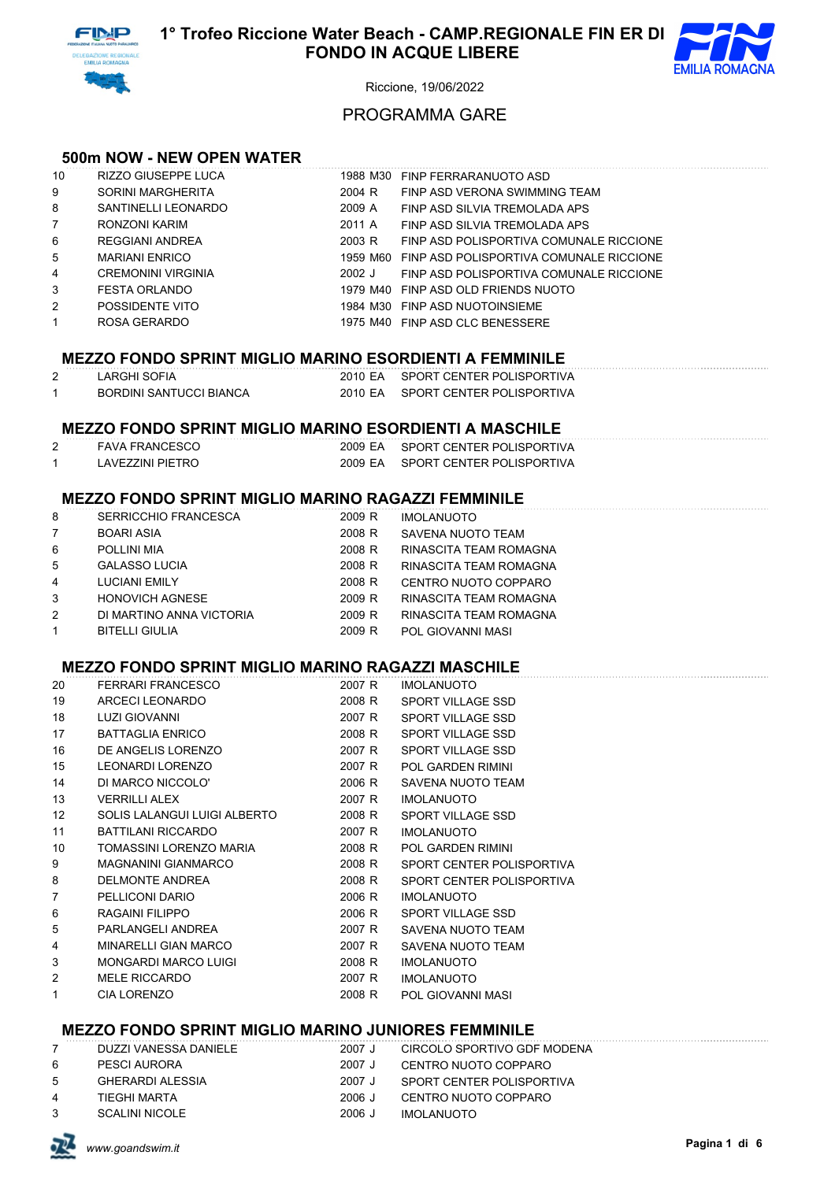



# PROGRAMMA GARE

## **500m NOW - NEW OPEN WATER**

| 10             | RIZZO GIUSEPPE LUCA       | 1988 M30 | FINP FERRARANUOTO ASD                            |
|----------------|---------------------------|----------|--------------------------------------------------|
| 9              | SORINI MARGHERITA         | 2004 R   | FINP ASD VERONA SWIMMING TEAM                    |
| 8              | SANTINELLI LEONARDO       | 2009 A   | FINP ASD SILVIA TREMOLADA APS                    |
| $7^{\circ}$    | RONZONI KARIM             | 2011 A   | FINP ASD SILVIA TREMOLADA APS                    |
| 6              | REGGIANI ANDREA           | 2003 R   | FINP ASD POLISPORTIVA COMUNALE RICCIONE          |
| 5              | <b>MARIANI ENRICO</b>     |          | 1959 M60 FINP ASD POLISPORTIVA COMUNALE RICCIONE |
| 4              | <b>CREMONINI VIRGINIA</b> | $2002$ J | FINP ASD POLISPORTIVA COMUNALE RICCIONE          |
| 3              | <b>FESTA ORLANDO</b>      |          | 1979 M40 FINP ASD OLD FRIENDS NUOTO              |
| $\overline{2}$ | POSSIDENTE VITO           | 1984 M30 | FINP ASD NUOTOINSIEME                            |
| $\mathbf{1}$   | ROSA GERARDO              |          | 1975 M40 FINP ASD CLC BENESSERE                  |
|                |                           |          |                                                  |

#### **MEZZO FONDO SPRINT MIGLIO MARINO ESORDIENTI A FEMMINILE**

| LARGHI SOFIA            | 2010 EA SPORT CENTER POLISPORTIVA |
|-------------------------|-----------------------------------|
| BORDINI SANTUCCI BIANCA | 2010 EA SPORT CENTER POLISPORTIVA |

# **MEZZO FONDO SPRINT MIGLIO MARINO ESORDIENTI A MASCHILE**

| FAVA FRANCESCO   | 2009 EA SPORT CENTER POLISPORTIVA |
|------------------|-----------------------------------|
| LAVEZZINI PIETRO | 2009 EA SPORT CENTER POLISPORTIVA |

# **MEZZO FONDO SPRINT MIGLIO MARINO RAGAZZI FEMMINILE**

| 8              | <b>SERRICCHIO FRANCESCA</b> | 2009 R | <b>IMOLANUOTO</b>        |
|----------------|-----------------------------|--------|--------------------------|
| $\overline{7}$ | <b>BOARI ASIA</b>           | 2008 R | SAVENA NUOTO TEAM        |
| 6              | POLLINI MIA                 | 2008 R | RINASCITA TEAM ROMAGNA   |
| 5              | <b>GALASSO LUCIA</b>        | 2008 R | RINASCITA TEAM ROMAGNA   |
| $\overline{4}$ | <b>LUCIANI EMILY</b>        | 2008 R | CENTRO NUOTO COPPARO     |
| 3              | <b>HONOVICH AGNESE</b>      | 2009 R | RINASCITA TEAM ROMAGNA   |
| 2              | DI MARTINO ANNA VICTORIA    | 2009 R | RINASCITA TEAM ROMAGNA   |
| $\mathbf{1}$   | <b>BITELLI GIULIA</b>       | 2009 R | <b>POL GIOVANNI MASI</b> |

### **MEZZO FONDO SPRINT MIGLIO MARINO RAGAZZI MASCHILE**

| 20                | FERRARI FRANCESCO            | 2007 R | <b>IMOLANUOTO</b>         |
|-------------------|------------------------------|--------|---------------------------|
| 19                | ARCECI LEONARDO              | 2008 R | SPORT VILLAGE SSD         |
| 18                | LUZI GIOVANNI                | 2007 R | SPORT VILLAGE SSD         |
| 17                | <b>BATTAGLIA ENRICO</b>      | 2008 R | <b>SPORT VILLAGE SSD</b>  |
| 16                | DE ANGELIS LORENZO           | 2007 R | <b>SPORT VILLAGE SSD</b>  |
| 15                | <b>LEONARDI LORENZO</b>      | 2007 R | <b>POL GARDEN RIMINI</b>  |
| 14                | DI MARCO NICCOLO'            | 2006 R | SAVENA NUOTO TEAM         |
| 13                | VERRILLI ALEX                | 2007 R | <b>IMOLANUOTO</b>         |
| $12 \overline{ }$ | SOLIS LALANGUI LUIGI ALBERTO | 2008 R | SPORT VILLAGE SSD         |
| 11                | BATTILANI RICCARDO           | 2007 R | <b>IMOLANUOTO</b>         |
| 10                | TOMASSINI LORENZO MARIA      | 2008 R | POL GARDEN RIMINI         |
| 9                 | MAGNANINI GIANMARCO          | 2008 R | SPORT CENTER POLISPORTIVA |
| 8                 | DELMONTE ANDREA              | 2008 R | SPORT CENTER POLISPORTIVA |
| 7                 | PELLICONI DARIO              | 2006 R | <b>IMOLANUOTO</b>         |
| 6                 | RAGAINI FILIPPO              | 2006 R | SPORT VILLAGE SSD         |
| 5                 | PARLANGELI ANDREA            | 2007 R | SAVENA NUOTO TEAM         |
| 4                 | MINARELLI GIAN MARCO         | 2007 R | SAVENA NUOTO TEAM         |
| 3                 | MONGARDI MARCO LUIGI         | 2008 R | <b>IMOLANUOTO</b>         |
| 2                 | <b>MELE RICCARDO</b>         | 2007 R | <b>IMOLANUOTO</b>         |
| 1                 | <b>CIA LORENZO</b>           | 2008 R | POL GIOVANNI MASI         |
|                   |                              |        |                           |

# **MEZZO FONDO SPRINT MIGLIO MARINO JUNIORES FEMMINILE**

|                | DUZZI VANESSA DANIELE | 2007 J | CIRCOLO SPORTIVO GDF MODENA |
|----------------|-----------------------|--------|-----------------------------|
| 6              | PESCI AURORA          | 2007 J | CENTRO NUOTO COPPARO        |
| $5 -$          | GHERARDI ALESSIA      | 2007 J | SPORT CENTER POLISPORTIVA   |
| $\overline{4}$ | TIFGHI MARTA          | 2006 J | CENTRO NUOTO COPPARO        |
| $\mathcal{S}$  | SCALINI NICOLE        | 2006 J | IMOLANUOTO                  |

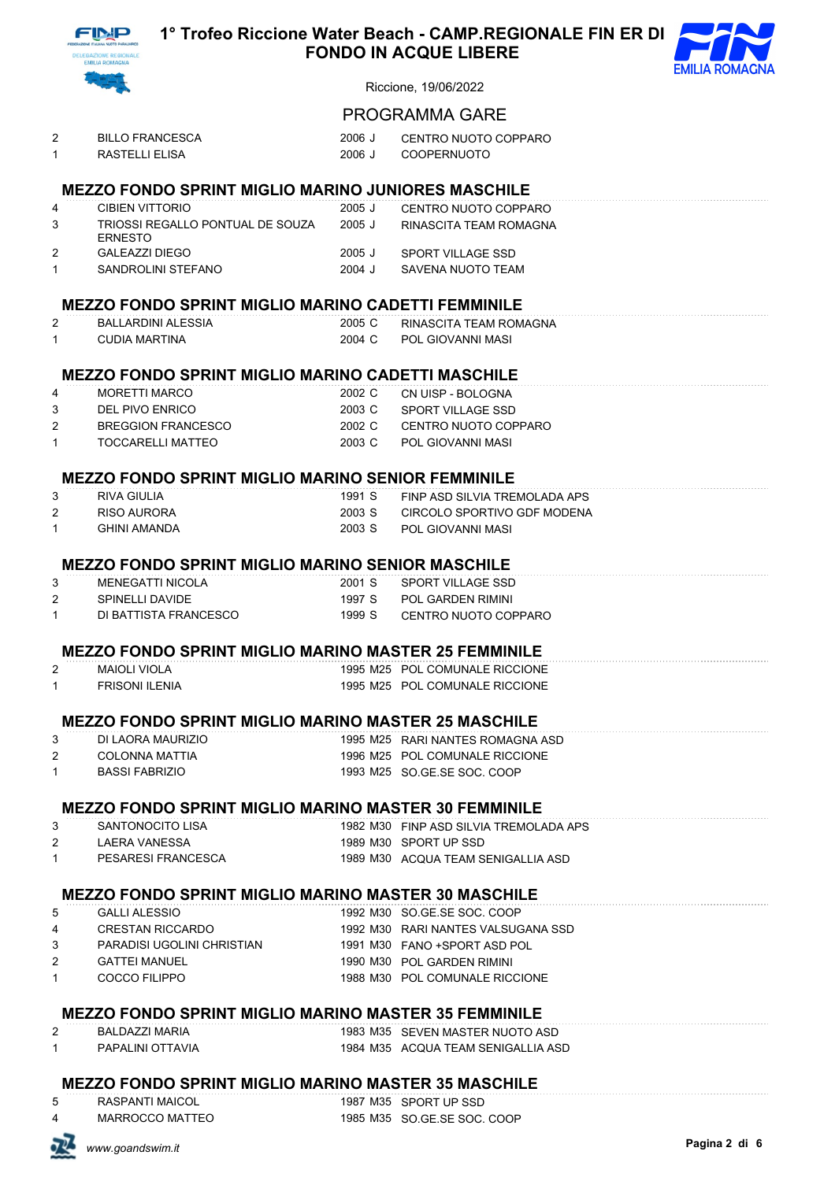



# PROGRAMMA GARE

| <b>BILLO FRANCESCA</b> | 2006 J | CENTRO NUOTO COPPARO |
|------------------------|--------|----------------------|
| RASTELLI ELISA         |        | 2006 J COOPERNUOTO   |

# **MEZZO FONDO SPRINT MIGLIO MARINO JUNIORES MASCHILE**

| 4             | CIBIEN VITTORIO                                     | 2005 J | CENTRO NUOTO COPPARO   |
|---------------|-----------------------------------------------------|--------|------------------------|
| $\mathcal{S}$ | TRIOSSI REGALI O PONTUAL DE SOUZA<br><b>FRNESTO</b> | 2005 J | RINASCITA TEAM ROMAGNA |
| 2             | GAI FAZZI DIFGO                                     | 2005 J | SPORT VILLAGE SSD      |
|               | SANDROLINI STEFANO                                  | 2004 J | SAVENA NUOTO TEAM      |

# **MEZZO FONDO SPRINT MIGLIO MARINO CADETTI FEMMINILE**

| BALLARDINI ALESSIA | 2005 C | RINASCITA TEAM ROMAGNA |
|--------------------|--------|------------------------|
| CUDIA MARTINA      | 2004 C | POL GIOVANNI MASI      |

#### **MEZZO FONDO SPRINT MIGLIO MARINO CADETTI MASCHILE**

| 4             | MORFTTI MARCO      |        | 2002 C CN UISP - BOLOGNA |
|---------------|--------------------|--------|--------------------------|
| $\mathcal{S}$ | DEL PIVO ENRICO    |        | 2003 C SPORT VILLAGE SSD |
| 2             | BREGGION FRANCESCO | 2002 C | CENTRO NUOTO COPPARO     |
| 1             | TOCCARELLI MATTEO  | 2003 C | POL GIOVANNI MASI        |

## **MEZZO FONDO SPRINT MIGLIO MARINO SENIOR FEMMINILE**

| 3 | RIVA GIULIA  | 1991 S | FINP ASD SILVIA TREMOLADA APS |
|---|--------------|--------|-------------------------------|
|   | RISO AURORA  | 2003 S | CIRCOLO SPORTIVO GDF MODENA   |
|   | GHINI AMANDA | 2003 S | - POL GIOVANNI MASI           |

#### **MEZZO FONDO SPRINT MIGLIO MARINO SENIOR MASCHILE**

|   | MENEGATTI NICOLA      | 2001 S | SPORT VILLAGE SSD    |
|---|-----------------------|--------|----------------------|
| 2 | SPINELLI DAVIDE       | 1997 S | POL GARDEN RIMINI    |
|   | DI BATTISTA FRANCESCO | 1999 S | CENTRO NUOTO COPPARO |

## **MEZZO FONDO SPRINT MIGLIO MARINO MASTER 25 FEMMINILE**

| <b>MAIOLI VIOLA</b>   | 1995 M25 POL COMUNALE RICCIONE |
|-----------------------|--------------------------------|
| <b>FRISONI ILENIA</b> | 1995 M25 POL COMUNALE RICCIONE |

#### **MEZZO FONDO SPRINT MIGLIO MARINO MASTER 25 MASCHILE**

| DI LAORA MAURIZIO | 1995 M25 RARI NANTES ROMAGNA ASD |
|-------------------|----------------------------------|
| COLONNA MATTIA    | 1996 M25 POL COMUNALE RICCIONE   |
| BASSI FABRIZIO    | 1993 M25 SO GE SE SOC. COOP      |

#### **MEZZO FONDO SPRINT MIGLIO MARINO MASTER 30 FEMMINILE**

| SANTONOCITO LISA   | 1982 M30 FINP ASD SILVIA TREMOLADA APS |
|--------------------|----------------------------------------|
| I AFRA VANFSSA     | 1989 M30 SPORT UP SSD                  |
| PESARESI FRANCESCA | 1989 M30 ACQUA TEAM SENIGALLIA ASD     |

## **MEZZO FONDO SPRINT MIGLIO MARINO MASTER 30 MASCHILE**

| 5                   | <b>GALLI ALESSIO</b>       | 1992 M30 SO GE SE SOC, COOP        |
|---------------------|----------------------------|------------------------------------|
| 4                   | CRESTAN RICCARDO           | 1992 M30 RARI NANTES VALSUGANA SSD |
| $\mathcal{S}$       | PARADISI UGOLINI CHRISTIAN | 1991 M30 FANO +SPORT ASD POL       |
| $\mathcal{P} \quad$ | <b>GATTEI MANUEL</b>       | 1990 M30 POL GARDEN RIMINI         |
| 1                   | COCCO FILIPPO              | 1988 M30 POL COMUNALE RICCIONE     |

#### **MEZZO FONDO SPRINT MIGLIO MARINO MASTER 35 FEMMINILE**

| BALDAZZI MARIA   | 1983 M35 |
|------------------|----------|
| PAPALINI OTTAVIA | 1984 M35 |

5 SEVEN MASTER NUOTO ASD 5 ACQUA TEAM SENIGALLIA ASD

# **MEZZO FONDO SPRINT MIGLIO MARINO MASTER 35 MASCHILE**

5 RASPANTI MAICOL 1987 M35 SPORT UP SSD

MARROCCO MATTEO 1985 M35 SO.GE.SE SOC. COOP

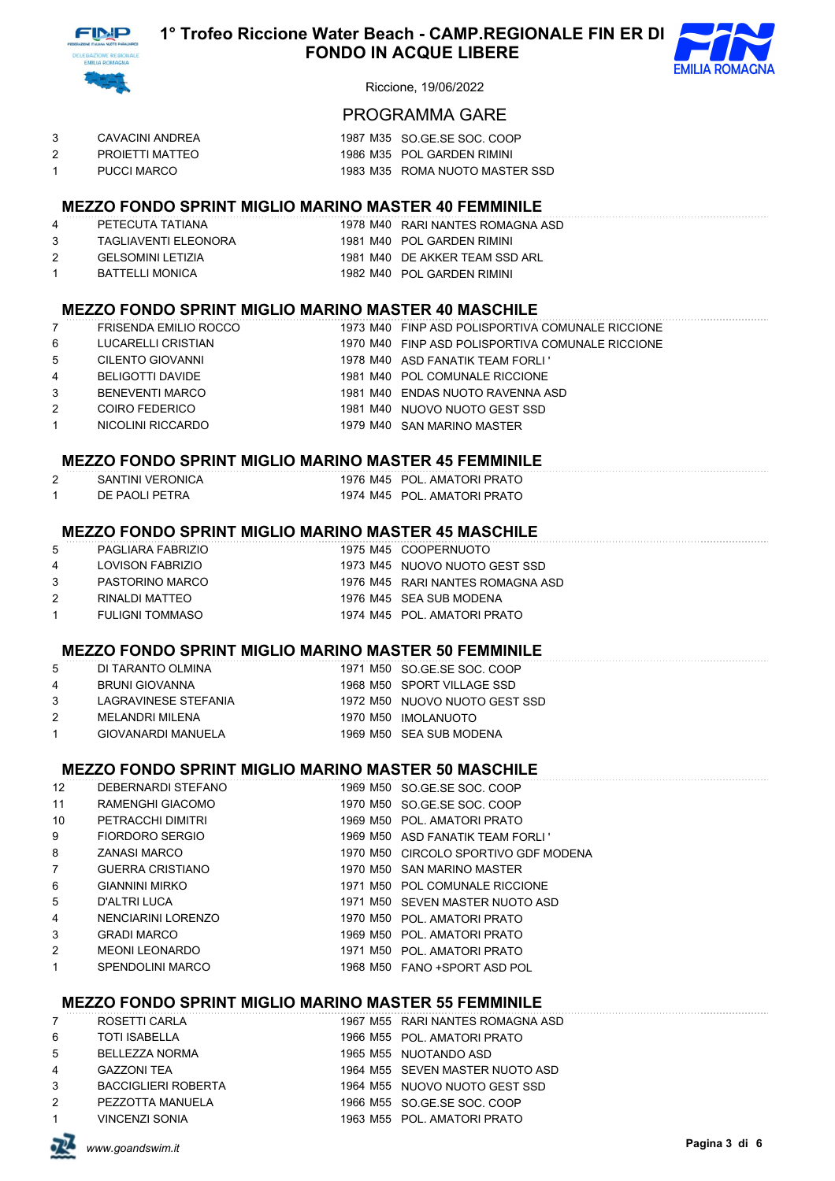



# PROGRAMMA GARE

| CAVACINI ANDREA | 1987 M35 SO GE SE SOC. COOP    |
|-----------------|--------------------------------|
| PROJETTI MATTEO | 1986 M35 POL GARDEN RIMINI     |
| PUCCI MARCO     | 1983 M35 ROMA NUOTO MASTER SSD |

# **MEZZO FONDO SPRINT MIGLIO MARINO MASTER 40 FEMMINILE**

| 4             | PETECUTA TATIANA         | 1978 M40 RARI NANTES ROMAGNA   |
|---------------|--------------------------|--------------------------------|
| -3.           | TAGLIAVENTI ELEONORA     | 1981 M40 POL GARDEN RIMINI     |
| $\mathcal{P}$ | <b>GELSOMINI LETIZIA</b> | 1981 M40 DE AKKER TEAM SSD ARI |

**2 PETECUTA ASD** 1 BATTELLI MONICA 1982 M40 POL GARDEN RIMINI

#### **MEZZO FONDO SPRINT MIGLIO MARINO MASTER 40 MASCHILE**

|                | <b>FRISENDA EMILIO ROCCO</b> | 1973 M40 FINP ASD POLISPORTIVA COMUNALE RICCIONE |
|----------------|------------------------------|--------------------------------------------------|
| 6              | LUCARELLI CRISTIAN           | 1970 M40 FINP ASD POLISPORTIVA COMUNALE RICCIONE |
| 5              | CILENTO GIOVANNI             | 1978 M40 ASD FANATIK TEAM FORLI '                |
| 4              | BELIGOTTI DAVIDE             | 1981 M40 POL COMUNALE RICCIONE                   |
| 3              | BENEVENTI MARCO              | 1981 M40 ENDAS NUOTO RAVENNA ASD                 |
| $\overline{2}$ | COIRO FEDERICO               | 1981 M40 NUOVO NUOTO GEST SSD                    |
| 1              | NICOLINI RICCARDO            | 1979 M40 SAN MARINO MASTER                       |

## **MEZZO FONDO SPRINT MIGLIO MARINO MASTER 45 FEMMINILE**

| SANTINI VERONICA |  | 1976 M45 POL. AMATORI PRATO |
|------------------|--|-----------------------------|
| DE PAOLI PETRA   |  | 1974 M45 POL. AMATORI PRATO |

#### **MEZZO FONDO SPRINT MIGLIO MARINO MASTER 45 MASCHILE**

| $5 -$          | PAGLIARA FABRIZIO      | 1975 M45 COOPERNUOTO             |
|----------------|------------------------|----------------------------------|
| $\overline{4}$ | LOVISON FABRIZIO       | 1973 M45 NUOVO NUOTO GEST SSD    |
| $\mathcal{S}$  | PASTORINO MARCO        | 1976 M45 RARI NANTES ROMAGNA ASD |
| $\mathcal{P}$  | RINALDI MATTEO         | 1976 M45 SEA SUB MODENA          |
| $\mathbf{1}$   | <b>FULIGNI TOMMASO</b> | 1974 M45 POL, AMATORI PRATO      |
|                |                        |                                  |

#### **MEZZO FONDO SPRINT MIGLIO MARINO MASTER 50 FEMMINILE**

| 5            | DI TARANTO OLMINA    | 1971 M50 SO GE SE SOC, COOP   |
|--------------|----------------------|-------------------------------|
| 4            | BRUNI GIOVANNA       | 1968 M50 SPORT VILLAGE SSD    |
| 3            | LAGRAVINESE STEFANIA | 1972 M50 NUOVO NUOTO GEST SSD |
| 2            | MELANDRI MILENA      | 1970 M50 IMOLANUOTO           |
| $\mathbf{1}$ | GIOVANARDI MANUELA   | 1969 M50 SEA SUB MODENA       |
|              |                      |                               |

# **MEZZO FONDO SPRINT MIGLIO MARINO MASTER 50 MASCHILE**

| 12              | DEBERNARDI STEFANO      | 1969 M50 SO GE SE SOC, COOP          |
|-----------------|-------------------------|--------------------------------------|
| 11              | RAMENGHI GIACOMO        | 1970 M50 SO GE SE SOC. COOP          |
| 10 <sup>1</sup> | PETRACCHI DIMITRI       | 1969 M50 POL. AMATORI PRATO          |
| 9               | FIORDORO SERGIO         | 1969 M50 ASD FANATIK TEAM FORLI '    |
| 8               | ZANASI MARCO            | 1970 M50 CIRCOLO SPORTIVO GDF MODENA |
| 7               | <b>GUERRA CRISTIANO</b> | 1970 M50 SAN MARINO MASTER           |
| 6               | <b>GIANNINI MIRKO</b>   | 1971 M50 POL COMUNALE RICCIONE       |
| 5               | D'ALTRI LUCA            | 1971 M50 SEVEN MASTER NUOTO ASD      |
| $\overline{4}$  | NENCIARINI LORENZO      | 1970 M50 POL. AMATORI PRATO          |
| 3               | <b>GRADI MARCO</b>      | 1969 M50 POL. AMATORI PRATO          |
| $\mathbf{2}$    | <b>MEONI LEONARDO</b>   | 1971 M50 POL. AMATORI PRATO          |
| $\mathbf{1}$    | <b>SPENDOLINI MARCO</b> | 1968 M50 FANO + SPORT ASD POL        |
|                 |                         |                                      |

## **MEZZO FONDO SPRINT MIGLIO MARINO MASTER 55 FEMMINILE**

| 7            | ROSETTI CARLA              | 1967 M55 RARI NANTES ROMAGNA ASD |
|--------------|----------------------------|----------------------------------|
| 6            | <b>TOTI ISABELLA</b>       | 1966 M55 POL. AMATORI PRATO      |
| 5            | <b>BELLEZZA NORMA</b>      | 1965 M55 NUOTANDO ASD            |
| 4            | <b>GAZZONI TEA</b>         | 1964 M55 SEVEN MASTER NUOTO ASD  |
| 3            | <b>BACCIGLIERI ROBERTA</b> | 1964 M55 NUOVO NUOTO GEST SSD    |
| 2            | PEZZOTTA MANUELA           | 1966 M55 SO GE SE SOC. COOP      |
| $\mathbf{1}$ | <b>VINCENZI SONIA</b>      | 1963 M55 POL. AMATORI PRATO      |
|              |                            |                                  |

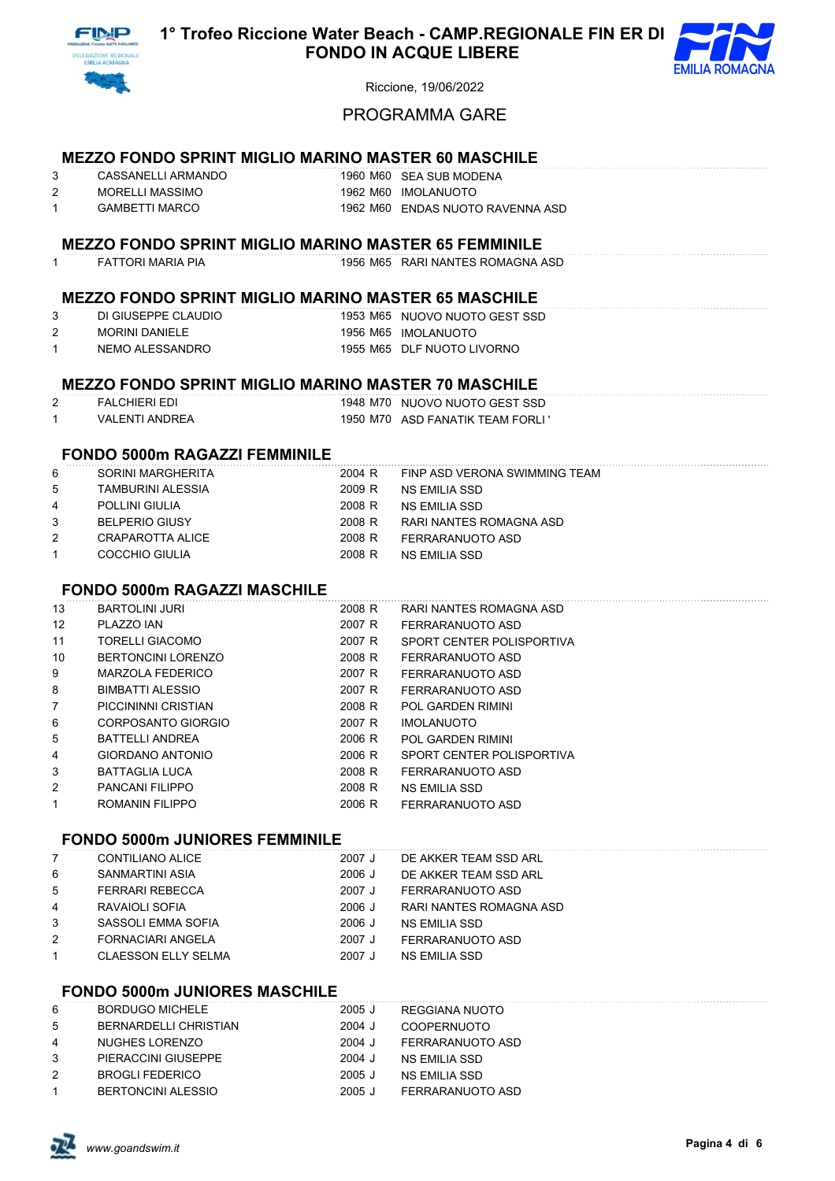



# PROGRAMMA GARE

## **MEZZO FONDO SPRINT MIGLIO MARINO MASTER 60 MASCHILE**

| CASSANELLI ARMANDO | 1960 M60 SEA SUB MODENA          |
|--------------------|----------------------------------|
| MORELLI MASSIMO    | 1962 M60 IMOLANUOTO              |
| GAMBETTI MARCO     | 1962 M60 ENDAS NUOTO RAVENNA ASD |

#### **MEZZO FONDO SPRINT MIGLIO MARINO MASTER 65 FEMMINILE**

# FATTORI MARIA PIA 1956 M65 RARI NANTES ROMAGNA ASD

# **MEZZO FONDO SPRINT MIGLIO MARINO MASTER 65 MASCHILE**

| DI GIUSEPPE CLAUDIO | 1953 M65 NUOVO NUOTO GEST SSD |
|---------------------|-------------------------------|
| MORINI DANIELE      | 1956 M65 IMOLANUOTO           |
| NEMO ALESSANDRO     | 1955 M65 DLF NUOTO LIVORNO    |

#### **MEZZO FONDO SPRINT MIGLIO MARINO MASTER 70 MASCHILE**

| FAI CHIFRI FDI  | 1948 M70 NUOVO NUOTO GEST SSD     |
|-----------------|-----------------------------------|
| VAI FNTI ANDRFA | 1950 M70 ASD FANATIK TEAM FORLI ' |

### **FONDO 5000m RAGAZZI FEMMINILE**

| 6              | SORINI MARGHERITA     | 2004 R | FINP ASD VERONA SWIMMING TEAM |
|----------------|-----------------------|--------|-------------------------------|
| 5              | TAMBURINI ALESSIA     | 2009 R | NS EMILIA SSD                 |
| $\overline{4}$ | <b>POLLINI GIULIA</b> | 2008 R | NS EMILIA SSD                 |
| $\mathbf{3}$   | <b>BELPERIO GIUSY</b> | 2008 R | RARI NANTES ROMAGNA ASD       |
| 2              | CRAPAROTTA ALICE      | 2008 R | FERRARANUOTO ASD              |
| $\mathbf{1}$   | COCCHIO GIULIA        | 2008 R | NS EMILIA SSD                 |
|                |                       |        |                               |

# **FONDO 5000m RAGAZZI MASCHILE**

| 13                | <b>BARTOLINI JURI</b>     | 2008 R | RARI NANTES ROMAGNA ASD   |
|-------------------|---------------------------|--------|---------------------------|
| $12 \overline{ }$ | PLAZZO JAN                | 2007 R | FERRARANUOTO ASD          |
| 11                | TORELLI GIACOMO           | 2007 R | SPORT CENTER POLISPORTIVA |
| 10                | <b>BERTONCINI LORENZO</b> | 2008 R | FERRARANUOTO ASD          |
| 9                 | MARZOLA FEDERICO          | 2007 R | FERRARANUOTO ASD          |
| 8                 | BIMBATTI ALESSIO          | 2007 R | FERRARANUOTO ASD          |
| $\overline{7}$    | PICCININNI CRISTIAN       | 2008 R | <b>POL GARDEN RIMINI</b>  |
| 6                 | CORPOSANTO GIORGIO        | 2007 R | <b>IMOLANUOTO</b>         |
| 5                 | BATTELLI ANDREA           | 2006 R | <b>POL GARDEN RIMINI</b>  |
| 4                 | GIORDANO ANTONIO          | 2006 R | SPORT CENTER POLISPORTIVA |
| 3                 | BATTAGLIA LUCA            | 2008 R | FERRARANUOTO ASD          |
| 2                 | PANCANI FILIPPO           | 2008 R | NS EMILIA SSD             |
| 1                 | ROMANIN FILIPPO           | 2006 R | FERRARANUOTO ASD          |
|                   |                           |        |                           |

# **FONDO 5000m JUNIORES FEMMINILE**

| $\overline{7}$ | CONTILIANO ALICE           | 2007 J   | DE AKKER TEAM SSD ARL   |
|----------------|----------------------------|----------|-------------------------|
| 6              | SANMARTINI ASIA            | 2006 J   | DE AKKER TEAM SSD ARL   |
| 5              | <b>FERRARI REBECCA</b>     | 2007 J   | FERRARANUOTO ASD        |
| $\overline{4}$ | RAVAIOLI SOFIA             | 2006 J   | RARI NANTES ROMAGNA ASD |
| 3              | SASSOLI EMMA SOFIA         | $2006$ J | NS EMILIA SSD           |
| 2              | <b>FORNACIARI ANGELA</b>   | 2007 J   | FERRARANUOTO ASD        |
| $\mathbf{1}$   | <b>CLAESSON ELLY SELMA</b> | 2007 J   | NS EMILIA SSD           |

## **FONDO 5000m JUNIORES MASCHILE**

| 6  | <b>BORDUGO MICHELE</b>    | $2005$ J | REGGIANA NUOTO     |
|----|---------------------------|----------|--------------------|
| -5 | BERNARDELLI CHRISTIAN     | 2004 J   | <b>COOPERNUOTO</b> |
| 4  | NUGHES LORENZO            | 2004 J   | FERRARANUOTO ASD   |
| 3  | PIERACCINI GIUSEPPE       | 2004 J   | NS FMILIA SSD      |
| 2  | <b>BROGLI FEDERICO</b>    | $2005$ J | NS EMILIA SSD      |
|    | <b>BERTONCINI ALESSIO</b> | $2005$ J | FERRARANUOTO ASD   |

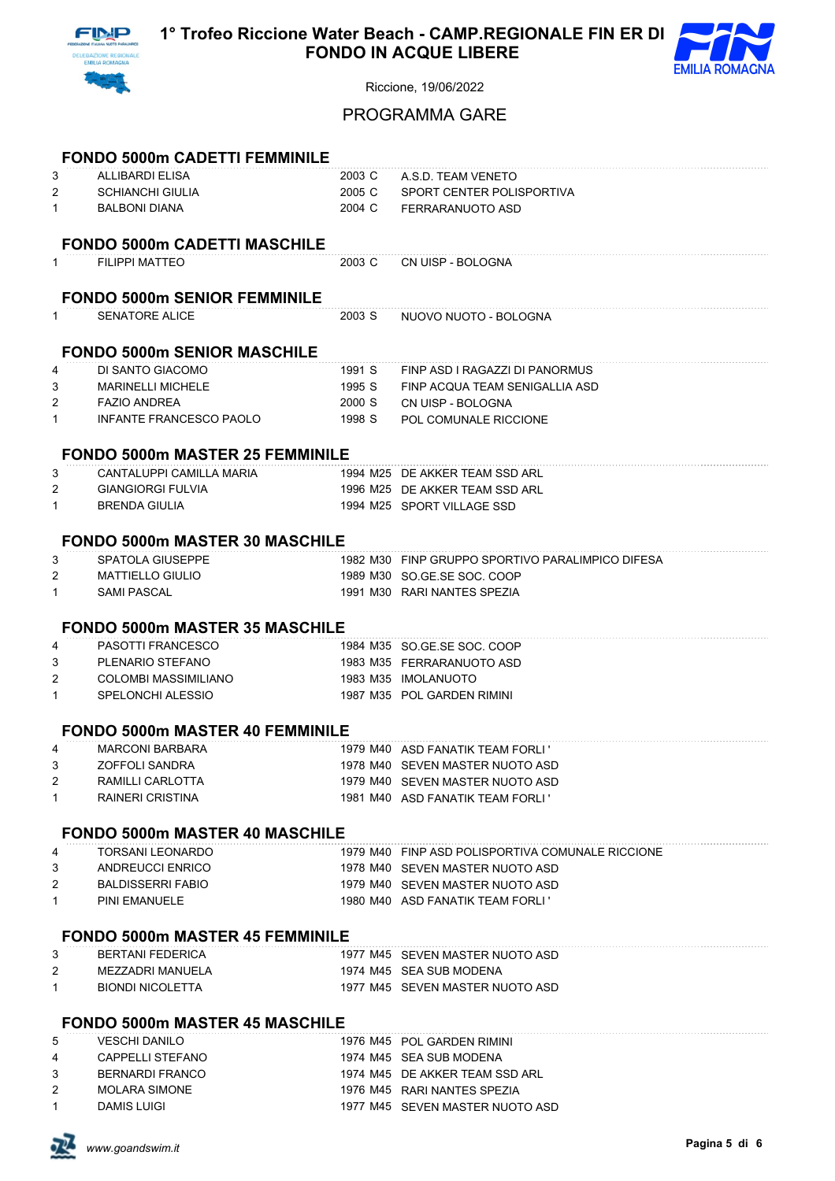



# PROGRAMMA GARE

|                   | <b>FONDO 5000m CADETTI FEMMINILE</b>                  |                  |                                                                      |
|-------------------|-------------------------------------------------------|------------------|----------------------------------------------------------------------|
| 3                 | <b>ALLIBARDI ELISA</b>                                | 2003 C           | A.S.D. TEAM VENETO                                                   |
| 2                 | <b>SCHIANCHI GIULIA</b>                               | 2005 C           | SPORT CENTER POLISPORTIVA                                            |
| $\mathbf{1}$      | <b>BALBONI DIANA</b>                                  | 2004 C           | FERRARANUOTO ASD                                                     |
|                   |                                                       |                  |                                                                      |
|                   | <b>FONDO 5000m CADETTI MASCHILE</b>                   |                  |                                                                      |
| $\mathbf{1}$      | <b>FILIPPI MATTEO</b>                                 | 2003 C           | CN UISP - BOLOGNA                                                    |
|                   |                                                       |                  |                                                                      |
|                   | <b>FONDO 5000m SENIOR FEMMINILE</b>                   |                  |                                                                      |
| $\mathbf{1}$      | <b>SENATORE ALICE</b>                                 | 2003 S           | NUOVO NUOTO - BOLOGNA                                                |
|                   |                                                       |                  |                                                                      |
|                   | <b>FONDO 5000m SENIOR MASCHILE</b>                    |                  |                                                                      |
| 4                 | DI SANTO GIACOMO                                      | 1991 S           | FINP ASD I RAGAZZI DI PANORMUS                                       |
| 3                 | <b>MARINELLI MICHELE</b>                              | 1995 S           | FINP ACQUA TEAM SENIGALLIA ASD                                       |
| 2<br>$\mathbf{1}$ | <b>FAZIO ANDREA</b><br><b>INFANTE FRANCESCO PAOLO</b> | 2000 S<br>1998 S | CN UISP - BOLOGNA<br>POL COMUNALE RICCIONE                           |
|                   |                                                       |                  |                                                                      |
|                   | <b>FONDO 5000m MASTER 25 FEMMINILE</b>                |                  |                                                                      |
| 3                 | CANTALUPPI CAMILLA MARIA                              |                  | 1994 M25 DE AKKER TEAM SSD ARL                                       |
| 2                 | <b>GIANGIORGI FULVIA</b>                              |                  | 1996 M25 DE AKKER TEAM SSD ARL                                       |
| $\mathbf{1}$      | <b>BRENDA GIULIA</b>                                  |                  | 1994 M25 SPORT VILLAGE SSD                                           |
|                   |                                                       |                  |                                                                      |
|                   | <b>FONDO 5000m MASTER 30 MASCHILE</b>                 |                  |                                                                      |
| 3                 | SPATOLA GIUSEPPE                                      |                  | 1982 M30 FINP GRUPPO SPORTIVO PARALIMPICO DIFESA                     |
| 2                 | <b>MATTIELLO GIULIO</b>                               |                  | 1989 M30 SO.GE.SE SOC. COOP                                          |
| $\mathbf{1}$      | <b>SAMI PASCAL</b>                                    |                  | 1991 M30 RARI NANTES SPEZIA                                          |
|                   |                                                       |                  |                                                                      |
|                   | <b>FONDO 5000m MASTER 35 MASCHILE</b>                 |                  |                                                                      |
| 4<br>3            | <b>PASOTTI FRANCESCO</b><br>PLENARIO STEFANO          |                  | 1984 M35 SO.GE.SE SOC. COOP<br>1983 M35 FERRARANUOTO ASD             |
| 2                 | <b>COLOMBI MASSIMILIANO</b>                           |                  | 1983 M35 IMOLANUOTO                                                  |
| $\mathbf{1}$      | SPELONCHI ALESSIO                                     |                  | 1987 M35 POL GARDEN RIMINI                                           |
|                   |                                                       |                  |                                                                      |
|                   | <b>FONDO 5000m MASTER 40 FEMMINILE</b>                |                  |                                                                      |
| 4                 | <b>MARCONI BARBARA</b>                                |                  | 1979 M40 ASD FANATIK TEAM FORLI '                                    |
| 3                 | ZOFFOLI SANDRA                                        |                  | 1978 M40 SEVEN MASTER NUOTO ASD                                      |
| 2                 | RAMILLI CARLOTTA                                      |                  | 1979 M40 SEVEN MASTER NUOTO ASD                                      |
| $\mathbf{1}$      | <b>RAINERI CRISTINA</b>                               |                  | 1981 M40 ASD FANATIK TEAM FORLI'                                     |
|                   |                                                       |                  |                                                                      |
|                   | <b>FONDO 5000m MASTER 40 MASCHILE</b>                 |                  |                                                                      |
| 4                 | <b>TORSANI LEONARDO</b>                               |                  | 1979 M40 FINP ASD POLISPORTIVA COMUNALE RICCIONE                     |
| 3                 | ANDREUCCI ENRICO                                      |                  | 1978 M40 SEVEN MASTER NUOTO ASD                                      |
| 2<br>$\mathbf{1}$ | <b>BALDISSERRI FABIO</b><br><b>PINI EMANUELE</b>      |                  | 1979 M40 SEVEN MASTER NUOTO ASD<br>1980 M40 ASD FANATIK TEAM FORLI ' |
|                   |                                                       |                  |                                                                      |
|                   | <b>FONDO 5000m MASTER 45 FEMMINILE</b>                |                  |                                                                      |
| 3                 | <b>BERTANI FEDERICA</b>                               |                  | 1977 M45 SEVEN MASTER NUOTO ASD                                      |
| 2                 | MEZZADRI MANUELA                                      |                  | 1974 M45 SEA SUB MODENA                                              |
| $\mathbf{1}$      | <b>BIONDI NICOLETTA</b>                               |                  | 1977 M45 SEVEN MASTER NUOTO ASD                                      |
|                   |                                                       |                  |                                                                      |
|                   | <b>FONDO 5000m MASTER 45 MASCHILE</b>                 |                  |                                                                      |
| 5                 | <b>VESCHI DANILO</b>                                  |                  | 1976 M45 POL GARDEN RIMINI                                           |
| 4                 | CAPPELLI STEFANO                                      |                  | 1974 M45 SEA SUB MODENA                                              |
| 3                 | <b>BERNARDI FRANCO</b>                                |                  | 1974 M45 DE AKKER TEAM SSD ARL                                       |
| 2                 | <b>MOLARA SIMONE</b>                                  |                  | 1976 M45 RARI NANTES SPEZIA                                          |

1 DAMIS LUIGI 1977 M45 SEVEN MASTER NUOTO ASD